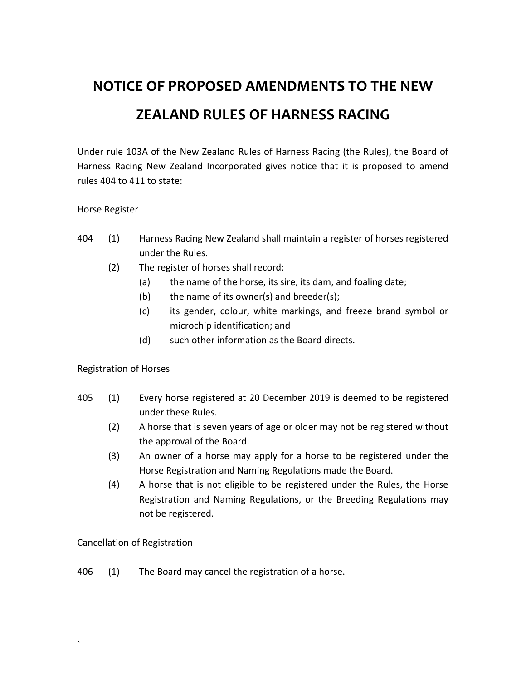# **NOTICE OF PROPOSED AMENDMENTS TO THE NEW ZEALAND RULES OF HARNESS RACING**

Under rule 103A of the New Zealand Rules of Harness Racing (the Rules), the Board of Harness Racing New Zealand Incorporated gives notice that it is proposed to amend rules 404 to 411 to state:

## Horse Register

- 404 (1) Harness Racing New Zealand shall maintain a register of horses registered under the Rules.
	- (2) The register of horses shall record:
		- (a) the name of the horse, its sire, its dam, and foaling date;
		- (b) the name of its owner(s) and breeder(s);
		- (c) its gender, colour, white markings, and freeze brand symbol or microchip identification; and
		- (d) such other information as the Board directs.

## Registration of Horses

- 405 (1) Every horse registered at 20 December 2019 is deemed to be registered under these Rules.
	- (2) A horse that is seven years of age or older may not be registered without the approval of the Board.
	- (3) An owner of a horse may apply for a horse to be registered under the Horse Registration and Naming Regulations made the Board.
	- (4) A horse that is not eligible to be registered under the Rules, the Horse Registration and Naming Regulations, or the Breeding Regulations may not be registered.

## Cancellation of Registration

`

406 (1) The Board may cancel the registration of a horse.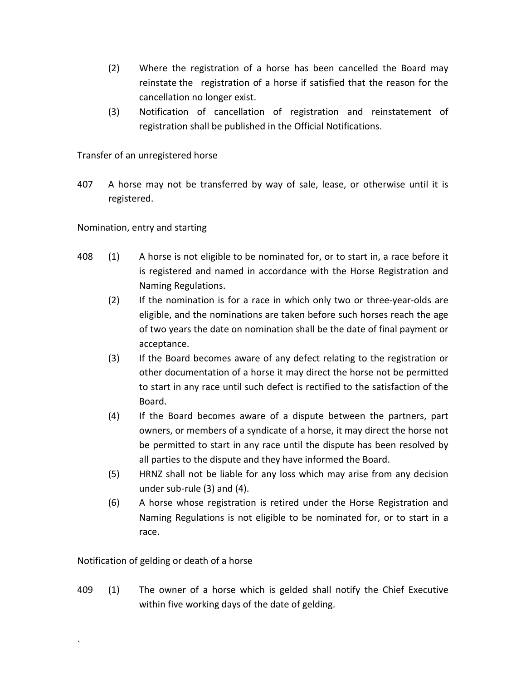- (2) Where the registration of a horse has been cancelled the Board may reinstate the registration of a horse if satisfied that the reason for the cancellation no longer exist.
- (3) Notification of cancellation of registration and reinstatement of registration shall be published in the Official Notifications.

## Transfer of an unregistered horse

407 A horse may not be transferred by way of sale, lease, or otherwise until it is registered.

## Nomination, entry and starting

- 408 (1) A horse is not eligible to be nominated for, or to start in, a race before it is registered and named in accordance with the Horse Registration and Naming Regulations.
	- (2) If the nomination is for a race in which only two or three-year-olds are eligible, and the nominations are taken before such horses reach the age of two years the date on nomination shall be the date of final payment or acceptance.
	- (3) If the Board becomes aware of any defect relating to the registration or other documentation of a horse it may direct the horse not be permitted to start in any race until such defect is rectified to the satisfaction of the Board.
	- (4) If the Board becomes aware of a dispute between the partners, part owners, or members of a syndicate of a horse, it may direct the horse not be permitted to start in any race until the dispute has been resolved by all parties to the dispute and they have informed the Board.
	- (5) HRNZ shall not be liable for any loss which may arise from any decision under sub-rule (3) and (4).
	- (6) A horse whose registration is retired under the Horse Registration and Naming Regulations is not eligible to be nominated for, or to start in a race.

Notification of gelding or death of a horse

`

409 (1) The owner of a horse which is gelded shall notify the Chief Executive within five working days of the date of gelding.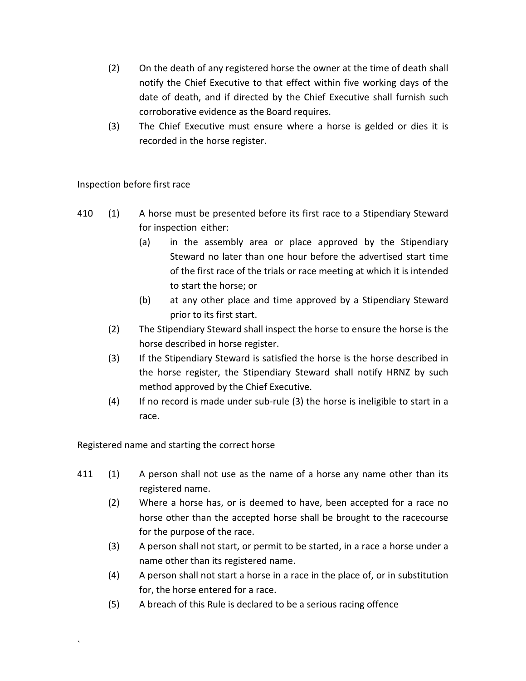- (2) On the death of any registered horse the owner at the time of death shall notify the Chief Executive to that effect within five working days of the date of death, and if directed by the Chief Executive shall furnish such corroborative evidence as the Board requires.
- (3) The Chief Executive must ensure where a horse is gelded or dies it is recorded in the horse register.

## Inspection before first race

- 410 (1) A horse must be presented before its first race to a Stipendiary Steward for inspection either:
	- (a) in the assembly area or place approved by the Stipendiary Steward no later than one hour before the advertised start time of the first race of the trials or race meeting at which it is intended to start the horse; or
	- (b) at any other place and time approved by a Stipendiary Steward prior to its first start.
	- (2) The Stipendiary Steward shall inspect the horse to ensure the horse is the horse described in horse register.
	- (3) If the Stipendiary Steward is satisfied the horse is the horse described in the horse register, the Stipendiary Steward shall notify HRNZ by such method approved by the Chief Executive.
	- (4) If no record is made under sub-rule (3) the horse is ineligible to start in a race.

Registered name and starting the correct horse

`

- 411 (1) A person shall not use as the name of a horse any name other than its registered name.
	- (2) Where a horse has, or is deemed to have, been accepted for a race no horse other than the accepted horse shall be brought to the racecourse for the purpose of the race.
	- (3) A person shall not start, or permit to be started, in a race a horse under a name other than its registered name.
	- (4) A person shall not start a horse in a race in the place of, or in substitution for, the horse entered for a race.
	- (5) A breach of this Rule is declared to be a serious racing offence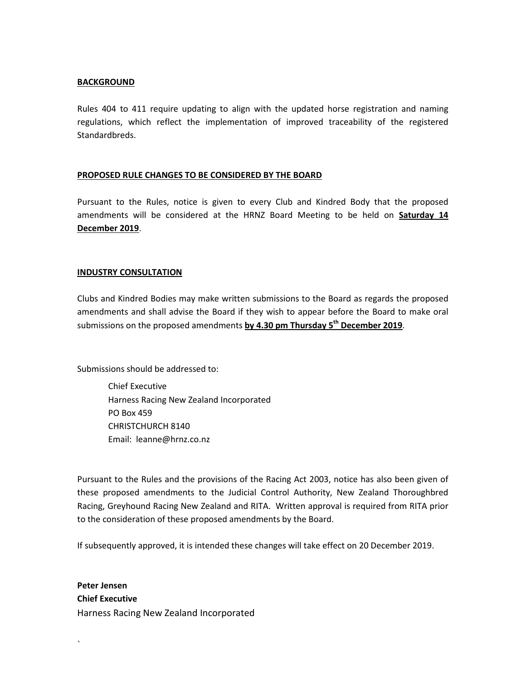#### **BACKGROUND**

Rules 404 to 411 require updating to align with the updated horse registration and naming regulations, which reflect the implementation of improved traceability of the registered Standardbreds.

#### **PROPOSED RULE CHANGES TO BE CONSIDERED BY THE BOARD**

Pursuant to the Rules, notice is given to every Club and Kindred Body that the proposed amendments will be considered at the HRNZ Board Meeting to be held on **Saturday 14 December 2019**.

#### **INDUSTRY CONSULTATION**

Clubs and Kindred Bodies may make written submissions to the Board as regards the proposed amendments and shall advise the Board if they wish to appear before the Board to make oral submissions on the proposed amendments **by 4.30 pm Thursday 5th December 2019**.

Submissions should be addressed to:

Chief Executive Harness Racing New Zealand Incorporated PO Box 459 CHRISTCHURCH 8140 Email: leanne@hrnz.co.nz

Pursuant to the Rules and the provisions of the Racing Act 2003, notice has also been given of these proposed amendments to the Judicial Control Authority, New Zealand Thoroughbred Racing, Greyhound Racing New Zealand and RITA. Written approval is required from RITA prior to the consideration of these proposed amendments by the Board.

If subsequently approved, it is intended these changes will take effect on 20 December 2019.

**Peter Jensen Chief Executive** Harness Racing New Zealand Incorporated

 $\mathbf{r}$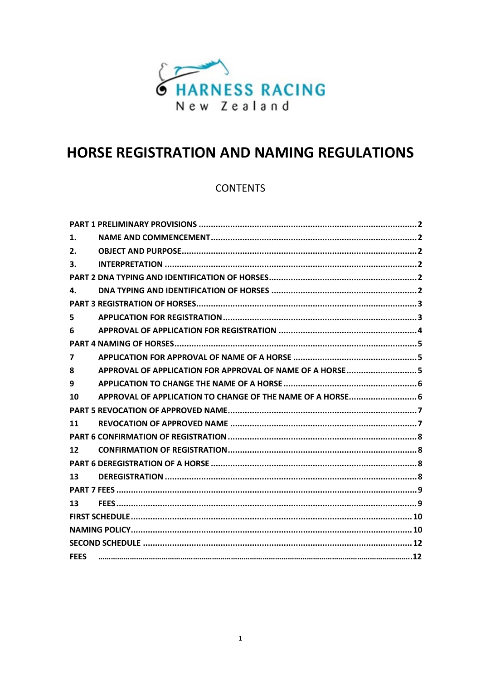

## **HORSE REGISTRATION AND NAMING REGULATIONS**

## **CONTENTS**

| 1.                |                                                            |  |  |
|-------------------|------------------------------------------------------------|--|--|
| 2.                |                                                            |  |  |
| 3.                |                                                            |  |  |
|                   |                                                            |  |  |
| 4.                |                                                            |  |  |
|                   |                                                            |  |  |
| 5                 |                                                            |  |  |
| 6                 |                                                            |  |  |
|                   |                                                            |  |  |
| 7                 |                                                            |  |  |
| 8                 | APPROVAL OF APPLICATION FOR APPROVAL OF NAME OF A HORSE 5  |  |  |
| 9                 |                                                            |  |  |
| 10                | APPROVAL OF APPLICATION TO CHANGE OF THE NAME OF A HORSE 6 |  |  |
|                   |                                                            |  |  |
| 11                |                                                            |  |  |
|                   |                                                            |  |  |
| $12 \overline{ }$ |                                                            |  |  |
|                   |                                                            |  |  |
| 13                |                                                            |  |  |
|                   |                                                            |  |  |
| 13                |                                                            |  |  |
|                   |                                                            |  |  |
|                   |                                                            |  |  |
|                   |                                                            |  |  |
| <b>FEES</b>       |                                                            |  |  |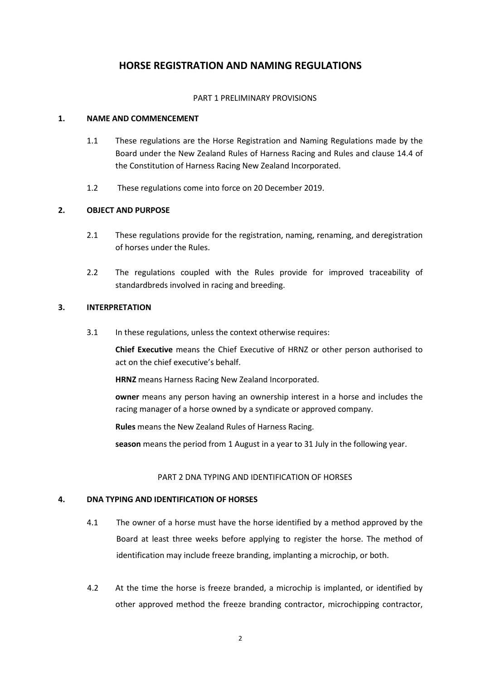## **HORSE REGISTRATION AND NAMING REGULATIONS**

#### PART 1 PRELIMINARY PROVISIONS

#### <span id="page-5-1"></span><span id="page-5-0"></span>**1. NAME AND COMMENCEMENT**

- 1.1 These regulations are the Horse Registration and Naming Regulations made by the Board under the New Zealand Rules of Harness Racing and Rules and clause 14.4 of the Constitution of Harness Racing New Zealand Incorporated.
- 1.2 These regulations come into force on 20 December 2019.

#### <span id="page-5-2"></span>**2. OBJECT AND PURPOSE**

- 2.1 These regulations provide for the registration, naming, renaming, and deregistration of horses under the Rules.
- 2.2 The regulations coupled with the Rules provide for improved traceability of standardbreds involved in racing and breeding.

#### <span id="page-5-3"></span>**3. INTERPRETATION**

3.1 In these regulations, unless the context otherwise requires:

**Chief Executive** means the Chief Executive of HRNZ or other person authorised to act on the chief executive's behalf.

**HRNZ** means Harness Racing New Zealand Incorporated.

**owner** means any person having an ownership interest in a horse and includes the racing manager of a horse owned by a syndicate or approved company.

**Rules** means the New Zealand Rules of Harness Racing.

**season** means the period from 1 August in a year to 31 July in the following year.

#### PART 2 DNA TYPING AND IDENTIFICATION OF HORSES

#### <span id="page-5-5"></span><span id="page-5-4"></span>**4. DNA TYPING AND IDENTIFICATION OF HORSES**

- 4.1 The owner of a horse must have the horse identified by a method approved by the Board at least three weeks before applying to register the horse. The method of identification may include freeze branding, implanting a microchip, or both.
- 4.2 At the time the horse is freeze branded, a microchip is implanted, or identified by other approved method the freeze branding contractor, microchipping contractor,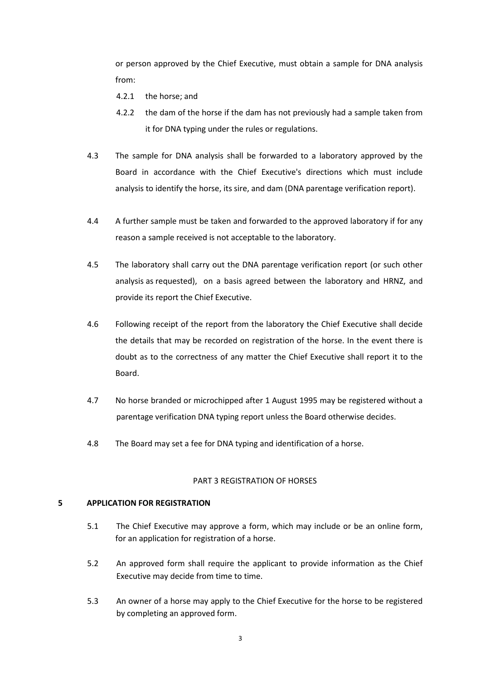or person approved by the Chief Executive, must obtain a sample for DNA analysis from:

- 4.2.1 the horse; and
- 4.2.2 the dam of the horse if the dam has not previously had a sample taken from it for DNA typing under the rules or regulations.
- 4.3 The sample for DNA analysis shall be forwarded to a laboratory approved by the Board in accordance with the Chief Executive's directions which must include analysis to identify the horse, its sire, and dam (DNA parentage verification report).
- 4.4 A further sample must be taken and forwarded to the approved laboratory if for any reason a sample received is not acceptable to the laboratory.
- 4.5 The laboratory shall carry out the DNA parentage verification report (or such other analysis as requested), on a basis agreed between the laboratory and HRNZ, and provide its report the Chief Executive.
- 4.6 Following receipt of the report from the laboratory the Chief Executive shall decide the details that may be recorded on registration of the horse. In the event there is doubt as to the correctness of any matter the Chief Executive shall report it to the Board.
- 4.7 No horse branded or microchipped after 1 August 1995 may be registered without a parentage verification DNA typing report unless the Board otherwise decides.
- 4.8 The Board may set a fee for DNA typing and identification of a horse.

#### PART 3 REGISTRATION OF HORSES

#### <span id="page-6-1"></span><span id="page-6-0"></span>**5 APPLICATION FOR REGISTRATION**

- 5.1 The Chief Executive may approve a form, which may include or be an online form, for an application for registration of a horse.
- 5.2 An approved form shall require the applicant to provide information as the Chief Executive may decide from time to time.
- 5.3 An owner of a horse may apply to the Chief Executive for the horse to be registered by completing an approved form.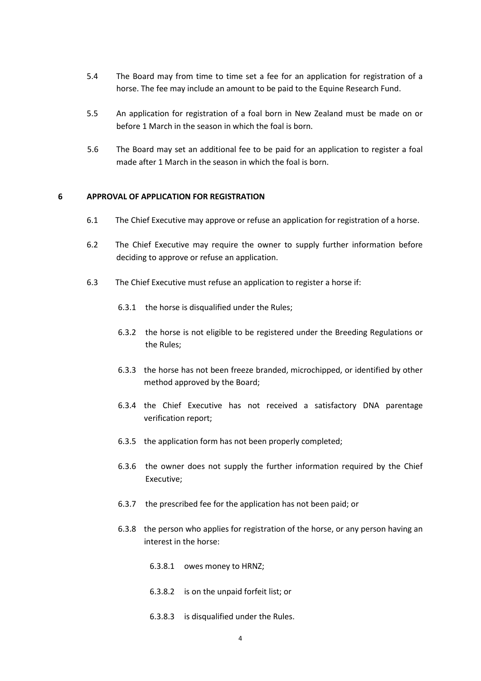- 5.4 The Board may from time to time set a fee for an application for registration of a horse. The fee may include an amount to be paid to the Equine Research Fund.
- 5.5 An application for registration of a foal born in New Zealand must be made on or before 1 March in the season in which the foal is born.
- 5.6 The Board may set an additional fee to be paid for an application to register a foal made after 1 March in the season in which the foal is born.

#### <span id="page-7-0"></span>**6 APPROVAL OF APPLICATION FOR REGISTRATION**

- 6.1 The Chief Executive may approve or refuse an application for registration of a horse.
- 6.2 The Chief Executive may require the owner to supply further information before deciding to approve or refuse an application.
- 6.3 The Chief Executive must refuse an application to register a horse if:
	- 6.3.1 the horse is disqualified under the Rules;
	- 6.3.2 the horse is not eligible to be registered under the Breeding Regulations or the Rules;
	- 6.3.3 the horse has not been freeze branded, microchipped, or identified by other method approved by the Board;
	- 6.3.4 the Chief Executive has not received a satisfactory DNA parentage verification report;
	- 6.3.5 the application form has not been properly completed;
	- 6.3.6 the owner does not supply the further information required by the Chief Executive;
	- 6.3.7 the prescribed fee for the application has not been paid; or
	- 6.3.8 the person who applies for registration of the horse, or any person having an interest in the horse:
		- 6.3.8.1 owes money to HRNZ;
		- 6.3.8.2 is on the unpaid forfeit list; or
		- 6.3.8.3 is disqualified under the Rules.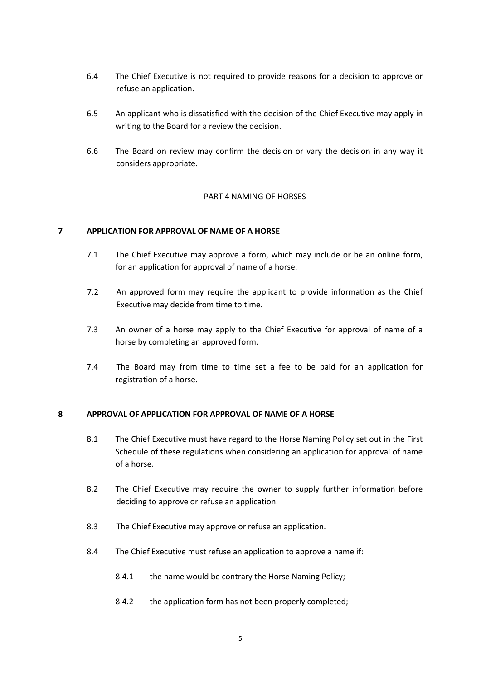- 6.4 The Chief Executive is not required to provide reasons for a decision to approve or refuse an application.
- 6.5 An applicant who is dissatisfied with the decision of the Chief Executive may apply in writing to the Board for a review the decision.
- 6.6 The Board on review may confirm the decision or vary the decision in any way it considers appropriate.

#### PART 4 NAMING OF HORSES

#### <span id="page-8-1"></span><span id="page-8-0"></span>**7 APPLICATION FOR APPROVAL OF NAME OF A HORSE**

- 7.1 The Chief Executive may approve a form, which may include or be an online form, for an application for approval of name of a horse.
- 7.2 An approved form may require the applicant to provide information as the Chief Executive may decide from time to time.
- 7.3 An owner of a horse may apply to the Chief Executive for approval of name of a horse by completing an approved form.
- 7.4 The Board may from time to time set a fee to be paid for an application for registration of a horse.

#### <span id="page-8-2"></span>**8 APPROVAL OF APPLICATION FOR APPROVAL OF NAME OF A HORSE**

- 8.1 The Chief Executive must have regard to the Horse Naming Policy set out in the First Schedule of these regulations when considering an application for approval of name of a horse*.*
- 8.2 The Chief Executive may require the owner to supply further information before deciding to approve or refuse an application.
- 8.3 The Chief Executive may approve or refuse an application.
- 8.4 The Chief Executive must refuse an application to approve a name if:
	- 8.4.1 the name would be contrary the Horse Naming Policy;
	- 8.4.2 the application form has not been properly completed;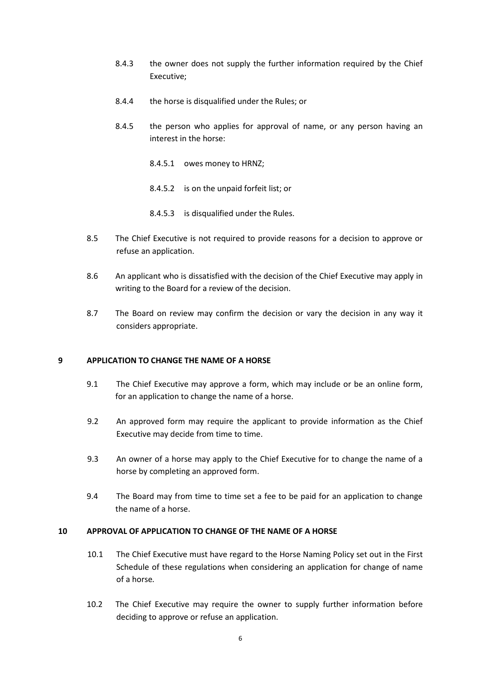- 8.4.3 the owner does not supply the further information required by the Chief Executive;
- 8.4.4 the horse is disqualified under the Rules; or
- 8.4.5 the person who applies for approval of name, or any person having an interest in the horse:
	- 8.4.5.1 owes money to HRNZ;
	- 8.4.5.2 is on the unpaid forfeit list; or
	- 8.4.5.3 is disqualified under the Rules.
- 8.5 The Chief Executive is not required to provide reasons for a decision to approve or refuse an application.
- 8.6 An applicant who is dissatisfied with the decision of the Chief Executive may apply in writing to the Board for a review of the decision.
- 8.7 The Board on review may confirm the decision or vary the decision in any way it considers appropriate.

#### <span id="page-9-0"></span>**9 APPLICATION TO CHANGE THE NAME OF A HORSE**

- 9.1 The Chief Executive may approve a form, which may include or be an online form, for an application to change the name of a horse.
- 9.2 An approved form may require the applicant to provide information as the Chief Executive may decide from time to time.
- 9.3 An owner of a horse may apply to the Chief Executive for to change the name of a horse by completing an approved form.
- 9.4 The Board may from time to time set a fee to be paid for an application to change the name of a horse.

#### <span id="page-9-1"></span>**10 APPROVAL OF APPLICATION TO CHANGE OF THE NAME OF A HORSE**

- 10.1 The Chief Executive must have regard to the Horse Naming Policy set out in the First Schedule of these regulations when considering an application for change of name of a horse*.*
- 10.2 The Chief Executive may require the owner to supply further information before deciding to approve or refuse an application.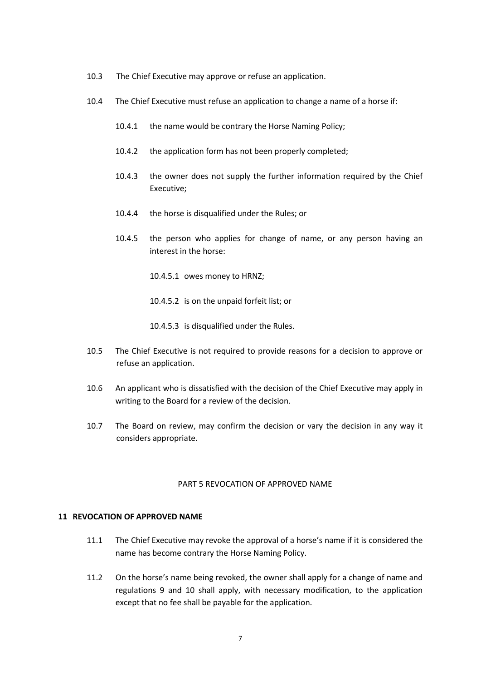- 10.3 The Chief Executive may approve or refuse an application.
- 10.4 The Chief Executive must refuse an application to change a name of a horse if:
	- 10.4.1 the name would be contrary the Horse Naming Policy;
	- 10.4.2 the application form has not been properly completed;
	- 10.4.3 the owner does not supply the further information required by the Chief Executive;
	- 10.4.4 the horse is disqualified under the Rules; or
	- 10.4.5 the person who applies for change of name, or any person having an interest in the horse:
		- 10.4.5.1 owes money to HRNZ;
		- 10.4.5.2 is on the unpaid forfeit list; or
		- 10.4.5.3 is disqualified under the Rules.
- 10.5 The Chief Executive is not required to provide reasons for a decision to approve or refuse an application.
- 10.6 An applicant who is dissatisfied with the decision of the Chief Executive may apply in writing to the Board for a review of the decision.
- 10.7 The Board on review, may confirm the decision or vary the decision in any way it considers appropriate.

#### PART 5 REVOCATION OF APPROVED NAME

#### <span id="page-10-1"></span><span id="page-10-0"></span>**11 REVOCATION OF APPROVED NAME**

- 11.1 The Chief Executive may revoke the approval of a horse's name if it is considered the name has become contrary the Horse Naming Policy.
- 11.2 On the horse's name being revoked, the owner shall apply for a change of name and regulations 9 and 10 shall apply, with necessary modification, to the application except that no fee shall be payable for the application.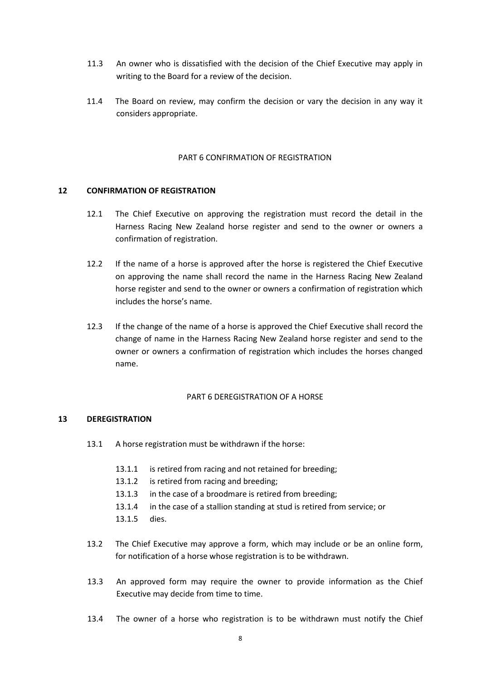- 11.3 An owner who is dissatisfied with the decision of the Chief Executive may apply in writing to the Board for a review of the decision.
- 11.4 The Board on review, may confirm the decision or vary the decision in any way it considers appropriate.

#### PART 6 CONFIRMATION OF REGISTRATION

#### <span id="page-11-1"></span><span id="page-11-0"></span>**12 CONFIRMATION OF REGISTRATION**

- 12.1 The Chief Executive on approving the registration must record the detail in the Harness Racing New Zealand horse register and send to the owner or owners a confirmation of registration.
- 12.2 If the name of a horse is approved after the horse is registered the Chief Executive on approving the name shall record the name in the Harness Racing New Zealand horse register and send to the owner or owners a confirmation of registration which includes the horse's name.
- 12.3 If the change of the name of a horse is approved the Chief Executive shall record the change of name in the Harness Racing New Zealand horse register and send to the owner or owners a confirmation of registration which includes the horses changed name.

#### PART 6 DEREGISTRATION OF A HORSE

#### <span id="page-11-3"></span><span id="page-11-2"></span>**13 DEREGISTRATION**

- 13.1 A horse registration must be withdrawn if the horse:
	- 13.1.1 is retired from racing and not retained for breeding;
	- 13.1.2 is retired from racing and breeding;
	- 13.1.3 in the case of a broodmare is retired from breeding;
	- 13.1.4 in the case of a stallion standing at stud is retired from service; or
	- 13.1.5 dies.
- 13.2 The Chief Executive may approve a form, which may include or be an online form, for notification of a horse whose registration is to be withdrawn.
- 13.3 An approved form may require the owner to provide information as the Chief Executive may decide from time to time.
- 13.4 The owner of a horse who registration is to be withdrawn must notify the Chief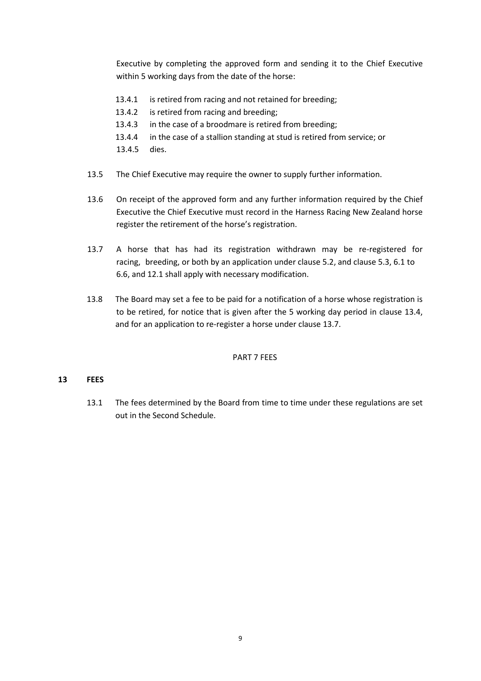Executive by completing the approved form and sending it to the Chief Executive within 5 working days from the date of the horse:

- 13.4.1 is retired from racing and not retained for breeding;
- 13.4.2 is retired from racing and breeding;
- 13.4.3 in the case of a broodmare is retired from breeding;
- 13.4.4 in the case of a stallion standing at stud is retired from service; or

13.4.5 dies.

- 13.5 The Chief Executive may require the owner to supply further information.
- 13.6 On receipt of the approved form and any further information required by the Chief Executive the Chief Executive must record in the Harness Racing New Zealand horse register the retirement of the horse's registration.
- 13.7 A horse that has had its registration withdrawn may be re-registered for racing, breeding, or both by an application under clause 5.2, and clause 5.3, 6.1 to 6.6, and 12.1 shall apply with necessary modification.
- 13.8 The Board may set a fee to be paid for a notification of a horse whose registration is to be retired, for notice that is given after the 5 working day period in clause 13.4, and for an application to re-register a horse under clause 13.7.

## PART 7 FEES

## <span id="page-12-1"></span><span id="page-12-0"></span>**13 FEES**

13.1 The fees determined by the Board from time to time under these regulations are set out in the Second Schedule.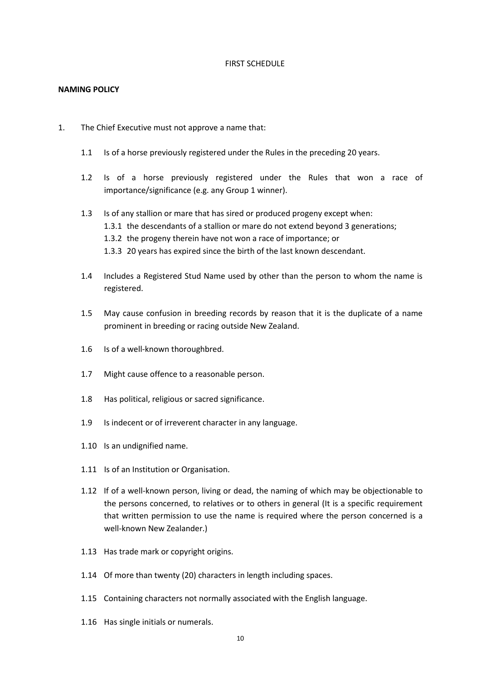#### FIRST SCHEDULE

#### <span id="page-13-1"></span><span id="page-13-0"></span>**NAMING POLICY**

- 1. The Chief Executive must not approve a name that:
	- 1.1 Is of a horse previously registered under the Rules in the preceding 20 years.
	- 1.2 Is of a horse previously registered under the Rules that won a race of importance/significance (e.g. any Group 1 winner).
	- 1.3 Is of any stallion or mare that has sired or produced progeny except when: 1.3.1 the descendants of a stallion or mare do not extend beyond 3 generations; 1.3.2 the progeny therein have not won a race of importance; or 1.3.3 20 years has expired since the birth of the last known descendant.
	- 1.4 Includes a Registered Stud Name used by other than the person to whom the name is registered.
	- 1.5 May cause confusion in breeding records by reason that it is the duplicate of a name prominent in breeding or racing outside New Zealand.
	- 1.6 Is of a well-known thoroughbred.
	- 1.7 Might cause offence to a reasonable person.
	- 1.8 Has political, religious or sacred significance.
	- 1.9 Is indecent or of irreverent character in any language.
	- 1.10 Is an undignified name.
	- 1.11 Is of an Institution or Organisation.
	- 1.12 If of a well-known person, living or dead, the naming of which may be objectionable to the persons concerned, to relatives or to others in general (It is a specific requirement that written permission to use the name is required where the person concerned is a well-known New Zealander.)
	- 1.13 Has trade mark or copyright origins.
	- 1.14 Of more than twenty (20) characters in length including spaces.
	- 1.15 Containing characters not normally associated with the English language.
	- 1.16 Has single initials or numerals.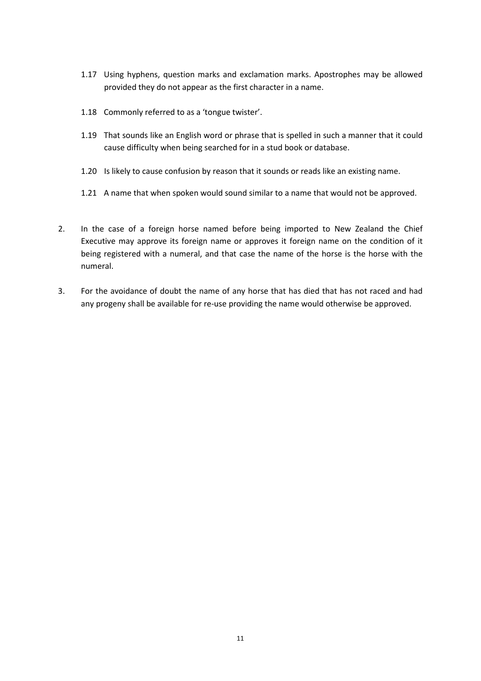- 1.17 Using hyphens, question marks and exclamation marks. Apostrophes may be allowed provided they do not appear as the first character in a name.
- 1.18 Commonly referred to as a 'tongue twister'.
- 1.19 That sounds like an English word or phrase that is spelled in such a manner that it could cause difficulty when being searched for in a stud book or database.
- 1.20 Is likely to cause confusion by reason that it sounds or reads like an existing name.
- 1.21 A name that when spoken would sound similar to a name that would not be approved.
- 2. In the case of a foreign horse named before being imported to New Zealand the Chief Executive may approve its foreign name or approves it foreign name on the condition of it being registered with a numeral, and that case the name of the horse is the horse with the numeral.
- 3. For the avoidance of doubt the name of any horse that has died that has not raced and had any progeny shall be available for re-use providing the name would otherwise be approved.